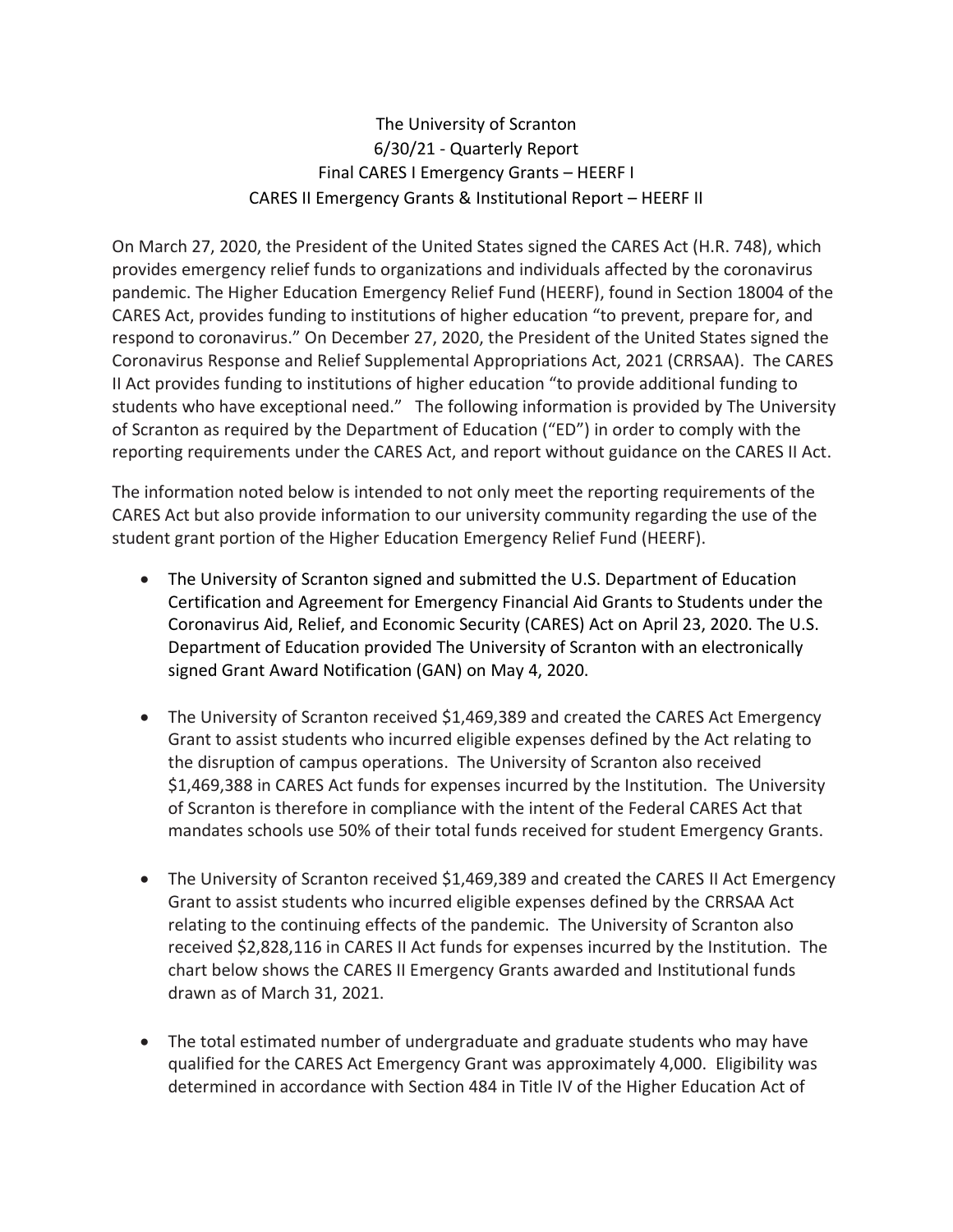The University of Scranton 6/30/21 - Quarterly Report Final CARES I Emergency Grants – HEERF I CARES II Emergency Grants & Institutional Report – HEERF II

On March 27, 2020, the President of the United States signed the CARES Act (H.R. 748), which provides emergency relief funds to organizations and individuals affected by the coronavirus pandemic. The Higher Education Emergency Relief Fund (HEERF), found in Section 18004 of the CARES Act, provides funding to institutions of higher education "to prevent, prepare for, and respond to coronavirus." On December 27, 2020, the President of the United States signed the Coronavirus Response and Relief Supplemental Appropriations Act, 2021 (CRRSAA). The CARES II Act provides funding to institutions of higher education "to provide additional funding to students who have exceptional need." The following information is provided by The University of Scranton as required by the Department of Education ("ED") in order to comply with the reporting requirements under the CARES Act, and report without guidance on the CARES II Act.

The information noted below is intended to not only meet the reporting requirements of the CARES Act but also provide information to our university community regarding the use of the student grant portion of the Higher Education Emergency Relief Fund (HEERF).

- The University of Scranton signed and submitted the U.S. Department of Education Certification and Agreement for Emergency Financial Aid Grants to Students under the Coronavirus Aid, Relief, and Economic Security (CARES) Act on April 23, 2020. The U.S. Department of Education provided The University of Scranton with an electronically signed Grant Award Notification (GAN) on May 4, 2020.
- The University of Scranton received \$1,469,389 and created the CARES Act Emergency Grant to assist students who incurred eligible expenses defined by the Act relating to the disruption of campus operations. The University of Scranton also received \$1,469,388 in CARES Act funds for expenses incurred by the Institution. The University of Scranton is therefore in compliance with the intent of the Federal CARES Act that mandates schools use 50% of their total funds received for student Emergency Grants.
- The University of Scranton received \$1,469,389 and created the CARES II Act Emergency Grant to assist students who incurred eligible expenses defined by the CRRSAA Act relating to the continuing effects of the pandemic. The University of Scranton also received \$2,828,116 in CARES II Act funds for expenses incurred by the Institution. The chart below shows the CARES II Emergency Grants awarded and Institutional funds drawn as of March 31, 2021.
- The total estimated number of undergraduate and graduate students who may have qualified for the CARES Act Emergency Grant was approximately 4,000. Eligibility was determined in accordance with Section 484 in Title IV of the Higher Education Act of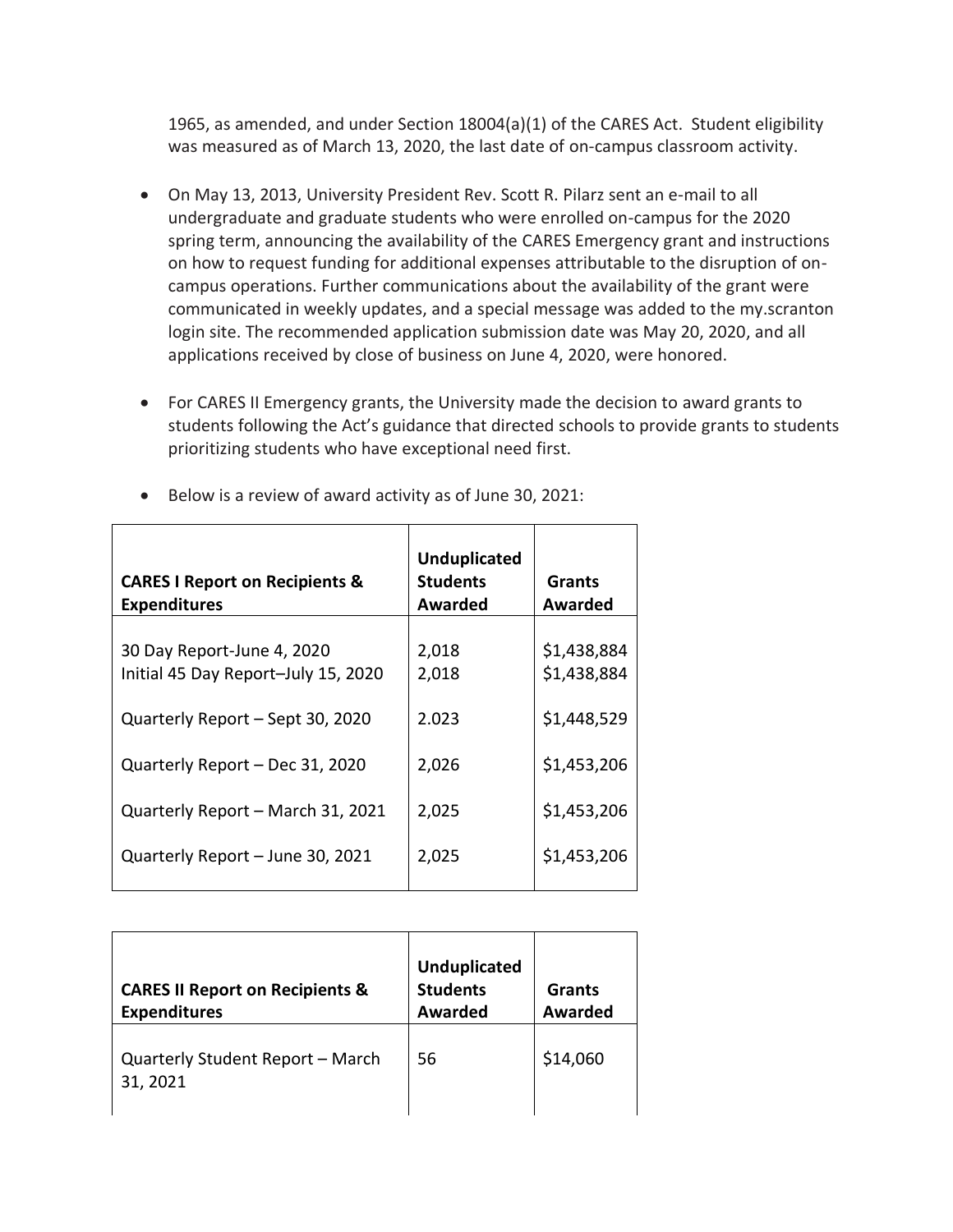1965, as amended, and under Section 18004(a)(1) of the CARES Act. Student eligibility was measured as of March 13, 2020, the last date of on-campus classroom activity.

- On May 13, 2013, University President Rev. Scott R. Pilarz sent an e-mail to all undergraduate and graduate students who were enrolled on-campus for the 2020 spring term, announcing the availability of the CARES Emergency grant and instructions on how to request funding for additional expenses attributable to the disruption of oncampus operations. Further communications about the availability of the grant were communicated in weekly updates, and a special message was added to the my.scranton login site. The recommended application submission date was May 20, 2020, and all applications received by close of business on June 4, 2020, were honored.
- For CARES II Emergency grants, the University made the decision to award grants to students following the Act's guidance that directed schools to provide grants to students prioritizing students who have exceptional need first.

| <b>CARES I Report on Recipients &amp;</b><br><b>Expenditures</b>  | <b>Unduplicated</b><br><b>Students</b><br>Awarded | Grants<br>Awarded          |
|-------------------------------------------------------------------|---------------------------------------------------|----------------------------|
| 30 Day Report-June 4, 2020<br>Initial 45 Day Report-July 15, 2020 | 2,018<br>2,018                                    | \$1,438,884<br>\$1,438,884 |
| Quarterly Report - Sept 30, 2020                                  | 2.023                                             | \$1,448,529                |
| Quarterly Report - Dec 31, 2020                                   | 2,026                                             | \$1,453,206                |
| Quarterly Report - March 31, 2021                                 | 2,025                                             | \$1,453,206                |
| Quarterly Report - June 30, 2021                                  | 2,025                                             | \$1,453,206                |

• Below is a review of award activity as of June 30, 2021:

| <b>CARES II Report on Recipients &amp;</b><br><b>Expenditures</b> | <b>Unduplicated</b><br><b>Students</b><br><b>Awarded</b> | Grants<br>Awarded |
|-------------------------------------------------------------------|----------------------------------------------------------|-------------------|
| Quarterly Student Report - March<br>31, 2021                      | 56                                                       | \$14,060          |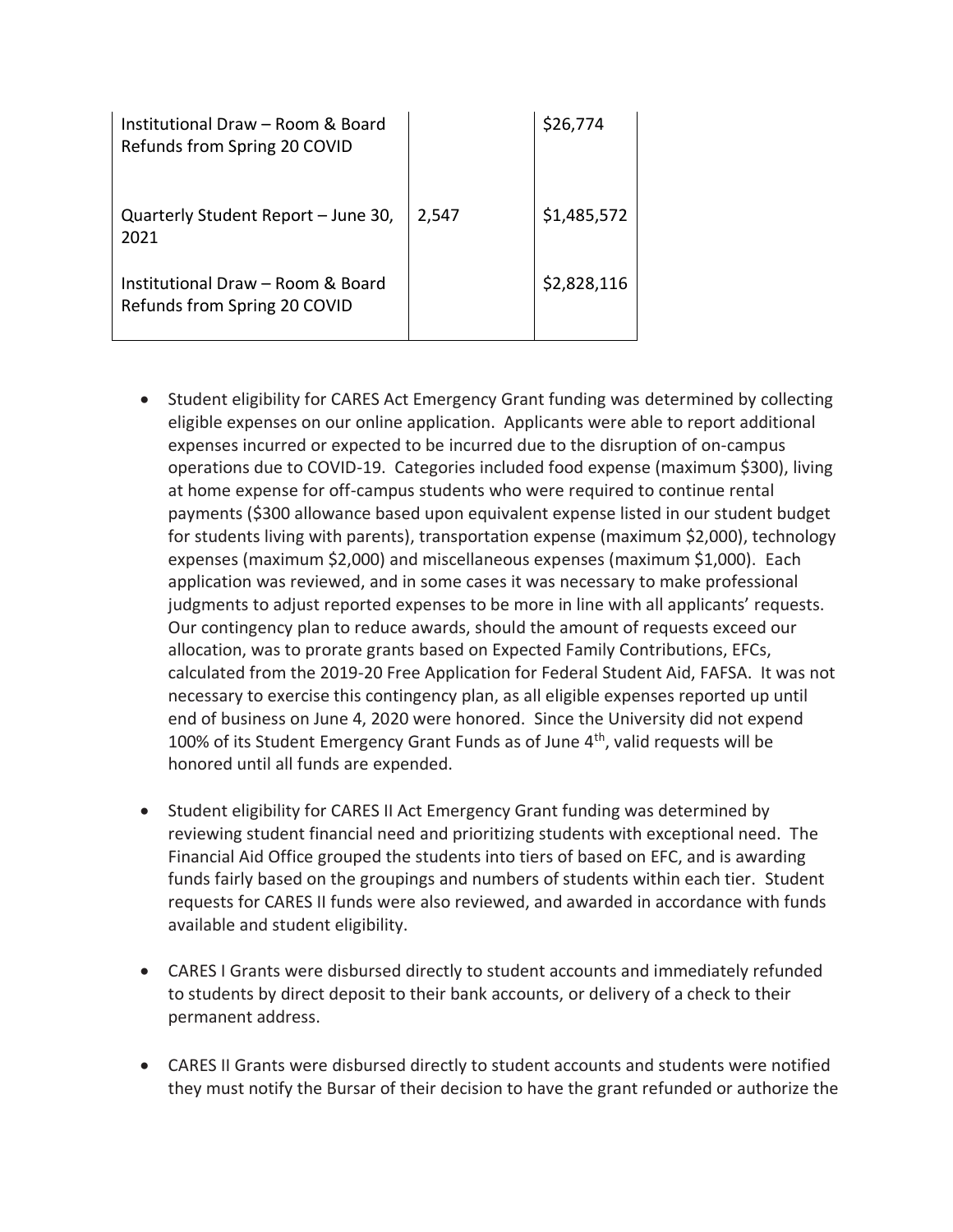| Institutional Draw – Room & Board<br>Refunds from Spring 20 COVID |       | \$26,774    |
|-------------------------------------------------------------------|-------|-------------|
| Quarterly Student Report - June 30,<br>2021                       | 2,547 | \$1,485,572 |
| Institutional Draw - Room & Board<br>Refunds from Spring 20 COVID |       | \$2,828,116 |

- Student eligibility for CARES Act Emergency Grant funding was determined by collecting eligible expenses on our online application. Applicants were able to report additional expenses incurred or expected to be incurred due to the disruption of on-campus operations due to COVID-19. Categories included food expense (maximum \$300), living at home expense for off-campus students who were required to continue rental payments (\$300 allowance based upon equivalent expense listed in our student budget for students living with parents), transportation expense (maximum \$2,000), technology expenses (maximum \$2,000) and miscellaneous expenses (maximum \$1,000). Each application was reviewed, and in some cases it was necessary to make professional judgments to adjust reported expenses to be more in line with all applicants' requests. Our contingency plan to reduce awards, should the amount of requests exceed our allocation, was to prorate grants based on Expected Family Contributions, EFCs, calculated from the 2019-20 Free Application for Federal Student Aid, FAFSA. It was not necessary to exercise this contingency plan, as all eligible expenses reported up until end of business on June 4, 2020 were honored. Since the University did not expend 100% of its Student Emergency Grant Funds as of June  $4<sup>th</sup>$ , valid requests will be honored until all funds are expended.
- Student eligibility for CARES II Act Emergency Grant funding was determined by reviewing student financial need and prioritizing students with exceptional need. The Financial Aid Office grouped the students into tiers of based on EFC, and is awarding funds fairly based on the groupings and numbers of students within each tier. Student requests for CARES II funds were also reviewed, and awarded in accordance with funds available and student eligibility.
- CARES I Grants were disbursed directly to student accounts and immediately refunded to students by direct deposit to their bank accounts, or delivery of a check to their permanent address.
- CARES II Grants were disbursed directly to student accounts and students were notified they must notify the Bursar of their decision to have the grant refunded or authorize the